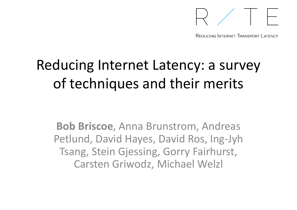

REDUCING INTERNET TRANSPORT | ATENCY

## Reducing Internet Latency: a survey of techniques and their merits

**Bob Briscoe**, Anna Brunstrom, Andreas Petlund, David Hayes, David Ros, Ing-Jyh Tsang, Stein Gjessing, Gorry Fairhurst, Carsten Griwodz, Michael Welzl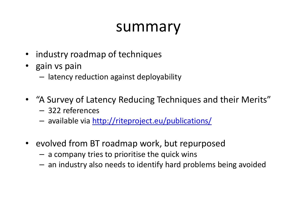## summary

- industry roadmap of techniques
- gain vs pain
	- Iatancvir  $-$  latency reduction against deployability
- "A Survey of Latency Reducing Techniques and their Merits"
	- 322 references
	- available via http://riteproject.eu/publications/
- evolved from BT roadmap work, but repurposed
	- a company tries to prioritise the quick wins
	- $-$  an industry also needs to identify hard problems being avoided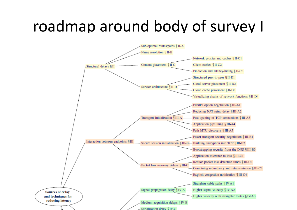## roadmap around body of survey I

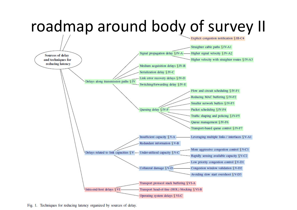

Fig. 1. Techniques for reducing latency organized by sources of delay.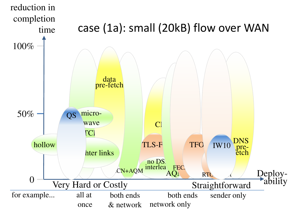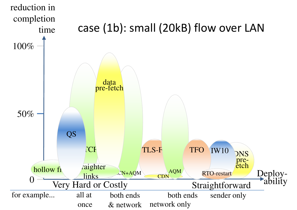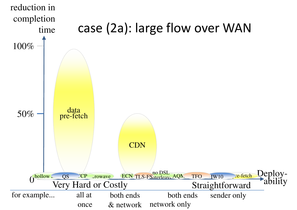